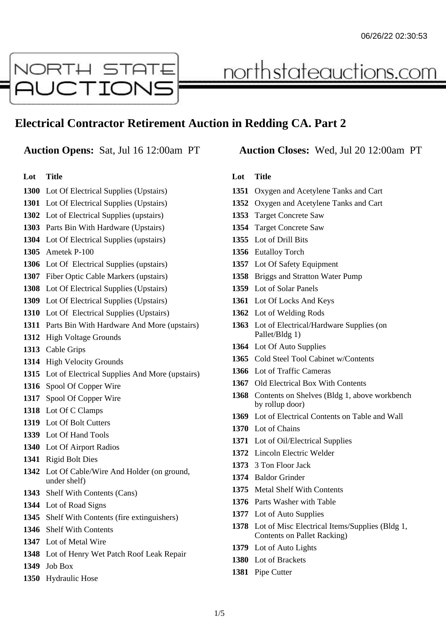

# **Electrical Contractor Retirement Auction in Redding CA. Part 2**

#### **Lot Title**

- Lot Of Electrical Supplies (Upstairs)
- Lot Of Electrical Supplies (Upstairs)
- Lot of Electrical Supplies (upstairs)
- Parts Bin With Hardware (Upstairs)
- Lot Of Electrical Supplies (upstairs)
- Ametek P-100
- Lot Of Electrical Supplies (upstairs)
- Fiber Optic Cable Markers (upstairs)
- Lot Of Electrical Supplies (Upstairs)
- Lot Of Electrical Supplies (Upstairs)
- Lot Of Electrical Supplies (Upstairs)
- Parts Bin With Hardware And More (upstairs)
- High Voltage Grounds
- Cable Grips
- High Velocity Grounds
- Lot of Electrical Supplies And More (upstairs)
- Spool Of Copper Wire
- Spool Of Copper Wire
- Lot Of C Clamps
- Lot Of Bolt Cutters
- Lot Of Hand Tools
- Lot Of Airport Radios
- Rigid Bolt Dies
- Lot Of Cable/Wire And Holder (on ground, under shelf)
- Shelf With Contents (Cans)
- Lot of Road Signs
- Shelf With Contents (fire extinguishers)
- Shelf With Contents
- Lot of Metal Wire
- Lot of Henry Wet Patch Roof Leak Repair
- Job Box
- Hydraulic Hose

#### **Auction Opens:** Sat, Jul 16 12:00am PT **Auction Closes:** Wed, Jul 20 12:00am PT

<u>northstateauctions.com</u>

- Oxygen and Acetylene Tanks and Cart
- Oxygen and Acetylene Tanks and Cart
- Target Concrete Saw
- Target Concrete Saw
- Lot of Drill Bits
- Eutalloy Torch
- Lot Of Safety Equipment
- Briggs and Stratton Water Pump
- Lot of Solar Panels
- Lot Of Locks And Keys
- Lot of Welding Rods
- Lot of Electrical/Hardware Supplies (on Pallet/Bldg 1)
- Lot Of Auto Supplies
- Cold Steel Tool Cabinet w/Contents
- Lot of Traffic Cameras
- Old Electrical Box With Contents
- Contents on Shelves (Bldg 1, above workbench by rollup door)
- Lot of Electrical Contents on Table and Wall
- Lot of Chains
- Lot of Oil/Electrical Supplies
- Lincoln Electric Welder
- 3 Ton Floor Jack
- Baldor Grinder
- Metal Shelf With Contents
- Parts Washer with Table
- Lot of Auto Supplies
- Lot of Misc Electrical Items/Supplies (Bldg 1, Contents on Pallet Racking)
- Lot of Auto Lights
- Lot of Brackets
- Pipe Cutter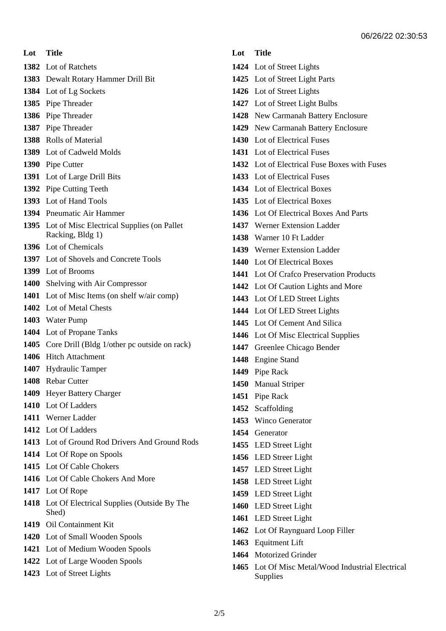**Lot Title**

Lot of Ratchets

- Dewalt Rotary Hammer Drill Bit
- Lot of Lg Sockets
- Pipe Threader
- Pipe Threader
- Pipe Threader
- Rolls of Material
- Lot of Cadweld Molds
- Pipe Cutter
- Lot of Large Drill Bits
- Pipe Cutting Teeth
- Lot of Hand Tools
- Pneumatic Air Hammer
- Lot of Misc Electrical Supplies (on Pallet Racking, Bldg 1)
- Lot of Chemicals
- Lot of Shovels and Concrete Tools
- Lot of Brooms
- Shelving with Air Compressor
- Lot of Misc Items (on shelf w/air comp)
- Lot of Metal Chests
- Water Pump
- Lot of Propane Tanks
- Core Drill (Bldg 1/other pc outside on rack)
- Hitch Attachment
- Hydraulic Tamper
- Rebar Cutter
- Heyer Battery Charger
- Lot Of Ladders
- Werner Ladder
- Lot Of Ladders
- Lot of Ground Rod Drivers And Ground Rods
- Lot Of Rope on Spools
- Lot Of Cable Chokers
- Lot Of Cable Chokers And More
- Lot Of Rope
- Lot Of Electrical Supplies (Outside By The Shed)
- Oil Containment Kit
- Lot of Small Wooden Spools
- Lot of Medium Wooden Spools
- Lot of Large Wooden Spools
- Lot of Street Lights

- Lot of Street Lights
- Lot of Street Light Parts
- Lot of Street Lights
- Lot of Street Light Bulbs
- New Carmanah Battery Enclosure
- New Carmanah Battery Enclosure
- Lot of Electrical Fuses
- Lot of Electrical Fuses
- Lot of Electrical Fuse Boxes with Fuses
- Lot of Electrical Fuses
- Lot of Electrical Boxes
- Lot of Electrical Boxes
- Lot Of Electrical Boxes And Parts
- Werner Extension Ladder
- Warner 10 Ft Ladder
- Werner Extension Ladder
- Lot Of Electrical Boxes
- Lot Of Crafco Preservation Products
- Lot Of Caution Lights and More
- Lot Of LED Street Lights
- Lot Of LED Street Lights
- Lot Of Cement And Silica
- Lot Of Misc Electrical Supplies
- Greenlee Chicago Bender
- Engine Stand
- Pipe Rack
- Manual Striper
- Pipe Rack
- Scaffolding
- Winco Generator
- Generator
- LED Street Light
- LED Streer Light
- LED Street Light
- LED Street Light
- LED Street Light
- LED Street Light
- LED Street Light
- Lot Of Raynguard Loop Filler
- Equitment Lift
- Motorized Grinder
- Lot Of Misc Metal/Wood Industrial Electrical Supplies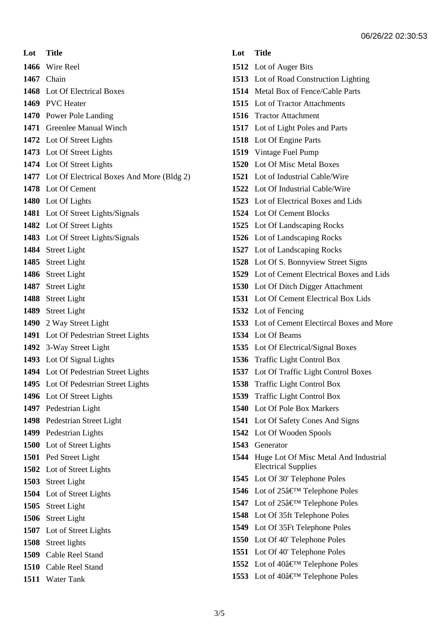**Lot Title** Wire Reel

Chain

Lot Of Electrical Boxes

- PVC Heater
- Power Pole Landing
- Greenlee Manual Winch
- Lot Of Street Lights
- Lot Of Street Lights
- Lot Of Street Lights
- Lot Of Electrical Boxes And More (Bldg 2)
- Lot Of Cement
- Lot Of Lights
- Lot Of Street Lights/Signals
- Lot Of Street Lights
- Lot Of Street Lights/Signals
- Street Light
- Street Light
- Street Light
- Street Light
- Street Light
- Street Light
- 2 Way Street Light
- Lot Of Pedestrian Street Lights
- 3-Way Street Light
- Lot Of Signal Lights
- Lot Of Pedestrian Street Lights
- Lot Of Pedestrian Street Lights
- Lot Of Street Lights
- Pedestrian Light
- Pedestrian Street Light
- Pedestrian Lights
- Lot of Street Lights
- Ped Street Light
- Lot of Street Lights
- Street Light
- Lot of Street Lights
- Street Light
- Street Light
- Lot of Street Lights
- Street lights
- Cable Reel Stand
- Cable Reel Stand
- Water Tank

- Lot of Auger Bits
- Lot of Road Construction Lighting
- Metal Box of Fence/Cable Parts
- Lot of Tractor Attachments
- Tractor Attachment
- Lot of Light Poles and Parts
- Lot Of Engine Parts
- Vintage Fuel Pump
- Lot Of Misc Metal Boxes
- Lot of Industrial Cable/Wire
- Lot Of Industrial Cable/Wire
- Lot of Electrical Boxes and Lids
- Lot Of Cement Blocks
- Lot Of Landscaping Rocks
- Lot of Landscaping Rocks
- Lot of Landscaping Rocks
- Lot Of S. Bonnyview Street Signs
- Lot of Cement Electrical Boxes and Lids
- Lot Of Ditch Digger Attachment
- Lot Of Cement Electrical Box Lids
- Lot of Fencing
- Lot of Cement Electircal Boxes and More
- Lot Of Beams
- Lot Of Electrical/Signal Boxes
- Traffic Light Control Box
- Lot Of Traffic Light Control Boxes
- Traffic Light Control Box
- Traffic Light Control Box
- Lot Of Pole Box Markers
- Lot Of Safety Cones And Signs
- Lot Of Wooden Spools
- Generator
- Huge Lot Of Misc Metal And Industrial Electrical Supplies
- Lot Of 30' Telephone Poles
- Lot of 25' Telephone Poles
- **1547** Lot of 25â€<sup>™</sup> Telephone Poles
- Lot Of 35ft Telephone Poles
- Lot Of 35Ft Telephone Poles
- Lot Of 40' Telephone Poles
- Lot Of 40' Telephone Poles
- Lot of 40' Telephone Poles
- **1553** Lot of 40â€<sup>™</sup> Telephone Poles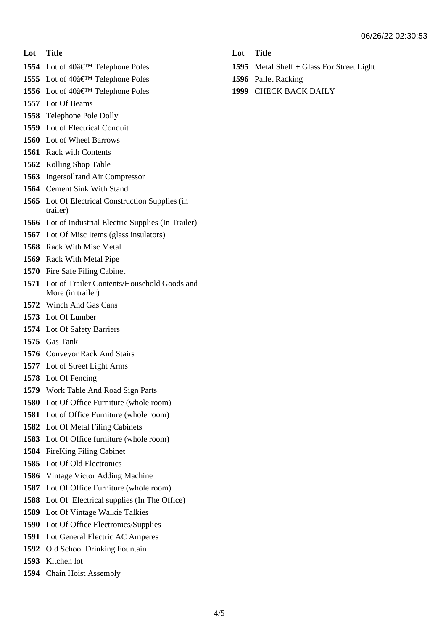#### **Lot Title**

- Lot of 40' Telephone Poles
- Lot of 40' Telephone Poles
- Lot of 40' Telephone Poles
- Lot Of Beams
- Telephone Pole Dolly
- Lot of Electrical Conduit
- Lot of Wheel Barrows
- Rack with Contents
- Rolling Shop Table
- Ingersollrand Air Compressor
- Cement Sink With Stand
- Lot Of Electrical Construction Supplies (in trailer)
- Lot of Industrial Electric Supplies (In Trailer)
- Lot Of Misc Items (glass insulators)
- Rack With Misc Metal
- Rack With Metal Pipe
- Fire Safe Filing Cabinet
- Lot of Trailer Contents/Household Goods and More (in trailer)
- Winch And Gas Cans
- Lot Of Lumber
- Lot Of Safety Barriers
- Gas Tank
- Conveyor Rack And Stairs
- Lot of Street Light Arms
- Lot Of Fencing
- Work Table And Road Sign Parts
- Lot Of Office Furniture (whole room)
- Lot of Office Furniture (whole room)
- Lot Of Metal Filing Cabinets
- Lot Of Office furniture (whole room)
- FireKing Filing Cabinet
- Lot Of Old Electronics
- Vintage Victor Adding Machine
- Lot Of Office Furniture (whole room)
- Lot Of Electrical supplies (In The Office)
- Lot Of Vintage Walkie Talkies
- Lot Of Office Electronics/Supplies
- Lot General Electric AC Amperes
- Old School Drinking Fountain
- Kitchen lot
- Chain Hoist Assembly

- Metal Shelf + Glass For Street Light
- Pallet Racking
- CHECK BACK DAILY